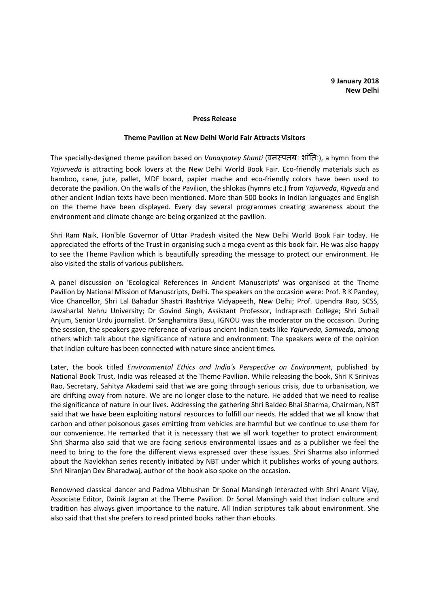### **Press Release**

#### **Theme Pavilion at New Delhi World Fair Attracts Visitors**

The specially-designed theme pavilion based on *Vanaspatey Shanti* (वनस्पतयः शांतिः), a hymn from the *Yajurveda* is attracting book lovers at the New Delhi World Book Fair. Eco-friendly materials such as bamboo, cane, jute, pallet, MDF board, papier mache and eco-friendly colors have been used to decorate the pavilion. On the walls of the Pavilion, the shlokas (hymns etc.) from *Yajurveda*, *Rigveda* and other ancient Indian texts have been mentioned. More than 500 books in Indian languages and English on the theme have been displayed. Every day several programmes creating awareness about the environment and climate change are being organized at the pavilion.

Shri Ram Naik, Hon'ble Governor of Uttar Pradesh visited the New Delhi World Book Fair today. He appreciated the efforts of the Trust in organising such a mega event as this book fair. He was also happy to see the Theme Pavilion which is beautifully spreading the message to protect our environment. He also visited the stalls of various publishers.

A panel discussion on 'Ecological References in Ancient Manuscripts' was organised at the Theme Pavilion by National Mission of Manuscripts, Delhi. The speakers on the occasion were: Prof. R K Pandey, Vice Chancellor, Shri Lal Bahadur Shastri Rashtriya Vidyapeeth, New Delhi; Prof. Upendra Rao, SCSS, Jawaharlal Nehru University; Dr Govind Singh, Assistant Professor, Indraprasth College; Shri Suhail Anjum, Senior Urdu journalist. Dr Sanghamitra Basu, IGNOU was the moderator on the occasion. During the session, the speakers gave reference of various ancient Indian texts like *Yajurveda, Samveda*, among others which talk about the significance of nature and environment. The speakers were of the opinion that Indian culture has been connected with nature since ancient times.

Later, the book titled *Environmental Ethics and India's Perspective on Environment*, published by National Book Trust, India was released at the Theme Pavilion. While releasing the book, Shri K Srinivas Rao, Secretary, Sahitya Akademi said that we are going through serious crisis, due to urbanisation, we are drifting away from nature. We are no longer close to the nature. He added that we need to realise the significance of nature in our lives. Addressing the gathering Shri Baldeo Bhai Sharma, Chairman, NBT said that we have been exploiting natural resources to fulfill our needs. He added that we all know that carbon and other poisonous gases emitting from vehicles are harmful but we continue to use them for our convenience. He remarked that it is necessary that we all work together to protect environment. Shri Sharma also said that we are facing serious environmental issues and as a publisher we feel the need to bring to the fore the different views expressed over these issues. Shri Sharma also informed about the Navlekhan series recently initiated by NBT under which it publishes works of young authors. Shri Niranjan Dev Bharadwaj, author of the book also spoke on the occasion.

Renowned classical dancer and Padma Vibhushan Dr Sonal Mansingh interacted with Shri Anant Vijay, Associate Editor, Dainik Jagran at the Theme Pavilion. Dr Sonal Mansingh said that Indian culture and tradition has always given importance to the nature. All Indian scriptures talk about environment. She also said that that she prefers to read printed books rather than ebooks.